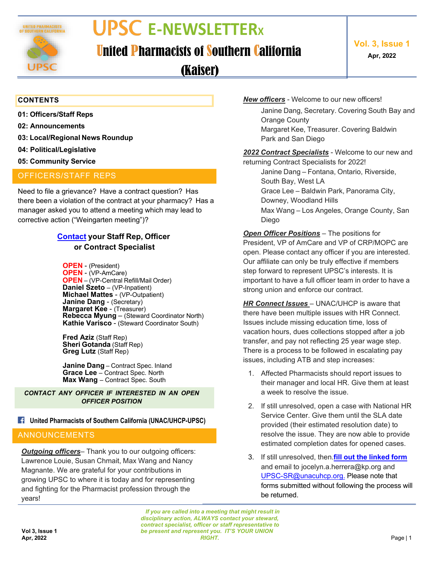

# **UPSC E-NEWSLETTERx**

### **United Pharmacists of Southern California Vol.** 3, **Issue 1**

**Apr, 2022**

(Kaiser)

#### **CONTENTS**

- **01: Officers/Staff Reps**
- **02: Announcements**
- **03: Local/Regional News Roundup**
- **04: Political/Legislative**
- **05: Community Service**

### OFFICERS/STAFF REPS

Need to file a grievance? Have a contract question? Has there been a violation of the contract at your pharmacy? Has a manager asked you to attend a meeting which may lead to corrective action ("Weingarten meeting")?

### **[Contact](https://upsc-unacuhcp.com/wp-content/uploads/2022/04/UPSC-AOC-Contact-List_20220329.pdf) your Staff Rep, Officer or Contract Specialist**

**OPEN** - (President) **OPEN** - (VP-AmCare) **OPEN** – (VP-Central Refill/Mail Order) **Daniel Szeto** – (VP-Inpatient) **Michael Mattes** - (VP-Outpatient) **Janine Dang** - (Secretary) **Margaret Kee - (Treasurer) Rebecca Myung** – (Steward Coordinator North) **Kathie Varisco** - (Steward Coordinator South)

**Fred Aziz** (Staff Rep) **Sheri Gotanda** (Staff Rep) **Greg Lutz** (Staff Rep)

**Janine Dang** – Contract Spec. Inland **Grace Lee** – Contract Spec. North **Max Wang** – Contract Spec. South

*CONTACT ANY OFFICER IF INTERESTED IN AN OPEN OFFICER POSITION*

### **United Pharmacists of Southern California (UNAC/UHCP-UPSC)**

### ANNOUNCEMENTS

*Outgoing officers*– Thank you to our outgoing officers: Lawrence Louie, Susan Chmait, Max Wang and Nancy Magnante. We are grateful for your contributions in growing UPSC to where it is today and for representing and fighting for the Pharmacist profession through the years!

*New officers* - Welcome to our new officers!

Janine Dang, Secretary. Covering South Bay and Orange County Margaret Kee, Treasurer. Covering Baldwin Park and San Diego

*2022 Contract Specialists* - Welcome to our new and returning Contract Specialists for 2022!

Janine Dang – Fontana, Ontario, Riverside, South Bay, West LA

Grace Lee – Baldwin Park, Panorama City,

Downey, Woodland Hills

Max Wang – Los Angeles, Orange County, San Diego

*Open Officer Positions* – The positions for President, VP of AmCare and VP of CRP/MOPC are open. Please contact any officer if you are interested. Our affiliate can only be truly effective if members step forward to represent UPSC's interests. It is important to have a full officer team in order to have a strong union and enforce our contract.

*HR Connect Issues* – UNAC/UHCP is aware that there have been multiple issues with HR Connect. Issues include missing education time, loss of vacation hours, dues collections stopped after a job transfer, and pay not reflecting 25 year wage step. There is a process to be followed in escalating pay issues, including ATB and step increases:

- 1. Affected Pharmacists should report issues to their manager and local HR. Give them at least a week to resolve the issue.
- 2. If still unresolved, open a case with National HR Service Center. Give them until the SLA date provided (their estimated resolution date) to resolve the issue. They are now able to provide estimated completion dates for opened cases.
- 3. If still unresolved, then.**fill out the [linked](https://unacuhcp.org/wp-content/uploads/UPSC-HRConnect-escalation-document.pdf) form** and email to [jocelyn.a.herrera@kp.org a](mailto:jocelyn.a.herrera@kp.org)nd [UPSC-SR@unacuhcp.org.](mailto:UPSC-SR@unacuhcp.org) Please note that forms submitted without following the process will be returned.

*If you are called into a meeting that might result in disciplinary action, ALWAYS contact your steward, contract specialist, officer or staff representative to be present and represent you. IT'S YOUR UNION RIGHT.* **Apr, 2022** Page | 1